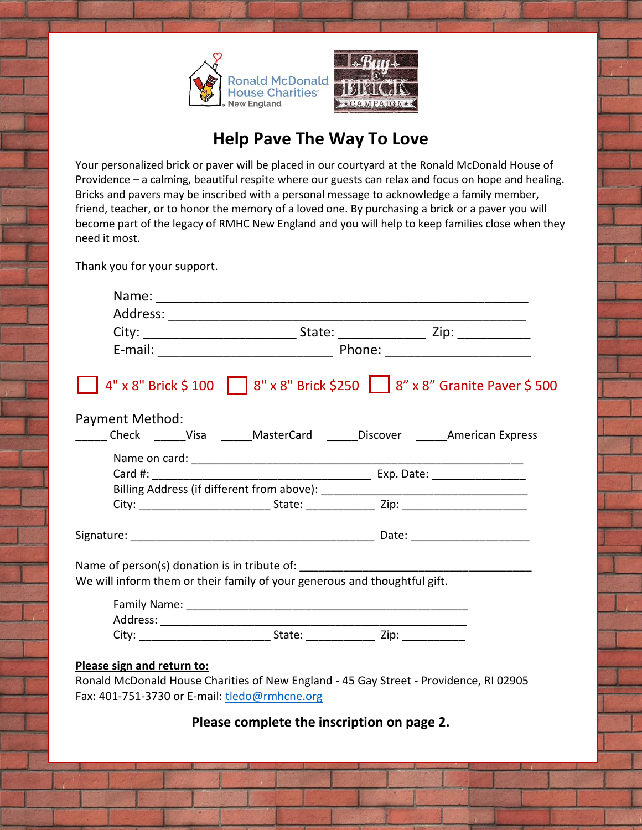

## **Help Pave The Way To Love**

Your personalized brick or paver will be placed in our courtyard at the Ronald McDonald House of Providence – a calming, beautiful respite where our guests can relax and focus on hope and healing. Bricks and pavers may be inscribed with a personal message to acknowledge a family member, friend, teacher, or to honor the memory of a loved one. By purchasing a brick or a paver you will become part of the legacy of RMHC New England and you will help to keep families close when they need it most.

Thank you for your support.

| 4" x 8" Brick \$ 100   8" x 8" Brick \$250   8" x 8" Granite Paver \$ 500<br><b>Payment Method:</b><br>Check ______Visa ______MasterCard ______Discover _______American Express<br>We will inform them or their family of your generous and thoughtful gift. |  |
|--------------------------------------------------------------------------------------------------------------------------------------------------------------------------------------------------------------------------------------------------------------|--|
|                                                                                                                                                                                                                                                              |  |
|                                                                                                                                                                                                                                                              |  |
|                                                                                                                                                                                                                                                              |  |
|                                                                                                                                                                                                                                                              |  |
|                                                                                                                                                                                                                                                              |  |
|                                                                                                                                                                                                                                                              |  |
|                                                                                                                                                                                                                                                              |  |
|                                                                                                                                                                                                                                                              |  |
|                                                                                                                                                                                                                                                              |  |
|                                                                                                                                                                                                                                                              |  |
|                                                                                                                                                                                                                                                              |  |
|                                                                                                                                                                                                                                                              |  |
|                                                                                                                                                                                                                                                              |  |
|                                                                                                                                                                                                                                                              |  |
|                                                                                                                                                                                                                                                              |  |
|                                                                                                                                                                                                                                                              |  |
|                                                                                                                                                                                                                                                              |  |
| Please sign and return to:                                                                                                                                                                                                                                   |  |
| Ronald McDonald House Charities of New England - 45 Gay Street - Providence, RI 02905                                                                                                                                                                        |  |
| Fax: 401-751-3730 or E-mail: tledo@rmhcne.org                                                                                                                                                                                                                |  |

## **Please complete the inscription on page 2.**